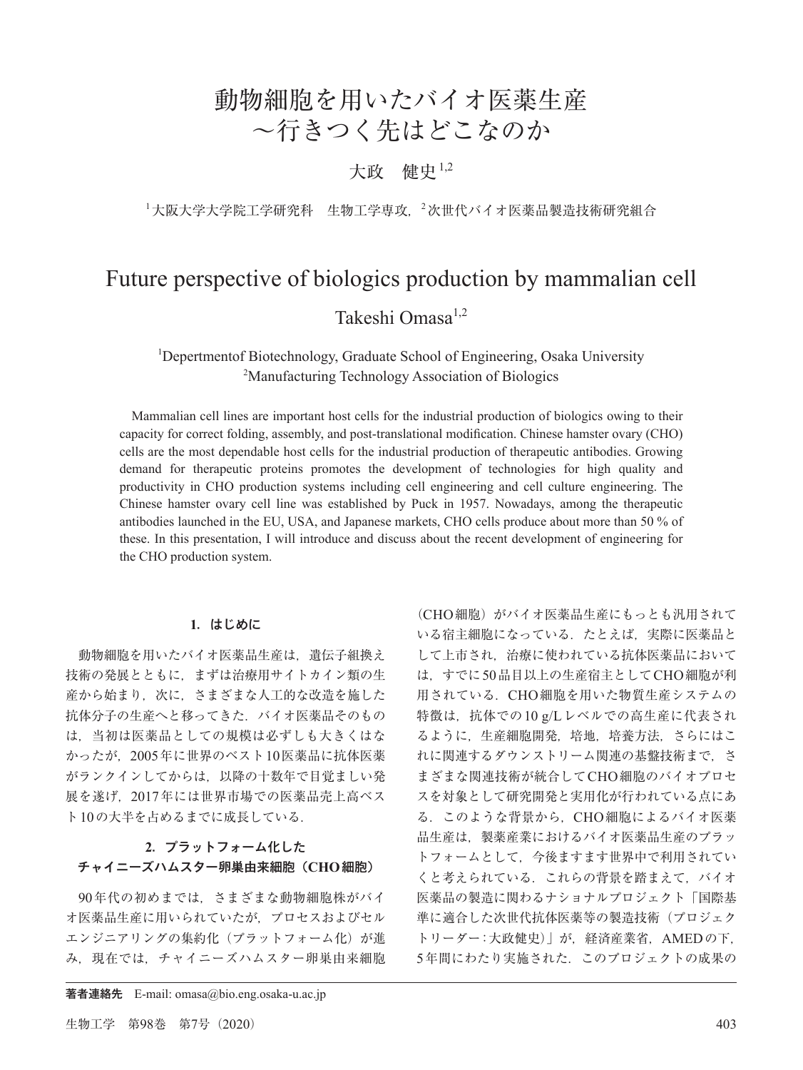# 動物細胞を用いたバイオ医薬生産 ~行きつく先はどこなのか

## 大政 健史1,2

<sup>1</sup>大阪大学大学院工学研究科 生物工学専攻, 2次世代バイオ医薬品製造技術研究組合

# Future perspective of biologics production by mammalian cell Takeshi Omasa1,2

## <sup>1</sup>Depertmentof Biotechnology, Graduate School of Engineering, Osaka University <sup>2</sup>Manufacturing Technology Association of Biologies <sup>2</sup>Manufacturing Technology Association of Biologics

Mammalian cell lines are important host cells for the industrial production of biologics owing to their capacity for correct folding, assembly, and post-translational modification. Chinese hamster ovary (CHO) cells are the most dependable host cells for the industrial production of therapeutic antibodies. Growing demand for therapeutic proteins promotes the development of technologies for high quality and productivity in CHO production systems including cell engineering and cell culture engineering. The Chinese hamster ovary cell line was established by Puck in 1957. Nowadays, among the therapeutic antibodies launched in the EU, USA, and Japanese markets, CHO cells produce about more than 50 % of these. In this presentation, I will introduce and discuss about the recent development of engineering for the CHO production system.

## **1**.はじめに

動物細胞を用いたバイオ医薬品生産は,遺伝子組換え 技術の発展とともに,まずは治療用サイトカイン類の生 産から始まり. 次に、さまざまな人工的な改造を施した 抗体分子の生産へと移ってきた.バイオ医薬品そのもの は,当初は医薬品としての規模は必ずしも大きくはな かったが,2005年に世界のベスト10医薬品に抗体医薬 がランクインしてからは,以降の十数年で目覚ましい発 展を遂げ,2017年には世界市場での医薬品売上高ベス ト10の大半を占めるまでに成長している.

## **2**.プラットフォーム化した チャイニーズハムスター卵巣由来細胞(**CHO**細胞)

90年代の初めまでは,さまざまな動物細胞株がバイ オ医薬品生産に用いられていたが,プロセスおよびセル エンジニアリングの集約化(プラットフォーム化)が進 み,現在では,チャイニーズハムスター卵巣由来細胞

(CHO細胞)がバイオ医薬品生産にもっとも汎用されて いる宿主細胞になっている.たとえば,実際に医薬品と して上市され,治療に使われている抗体医薬品において は,すでに50品目以上の生産宿主としてCHO細胞が利 用されている.CHO細胞を用いた物質生産システムの 特徴は、抗体での10 g/Lレベルでの高生産に代表され るように,生産細胞開発,培地,培養方法,さらにはこ れに関連するダウンストリーム関連の基盤技術まで、さ まざまな関連技術が統合してCHO細胞のバイオプロセ スを対象として研究開発と実用化が行われている点にあ る.このような背景から,CHO細胞によるバイオ医薬 品生産は,製薬産業におけるバイオ医薬品生産のプラッ トフォームとして,今後ますます世界中で利用されてい くと考えられている.これらの背景を踏まえて,バイオ 医薬品の製造に関わるナショナルプロジェクト「国際基 準に適合した次世代抗体医薬等の製造技術(プロジェク トリーダー:大政健史)」が,経済産業省,AMEDの下, 5年間にわたり実施された.このプロジェクトの成果の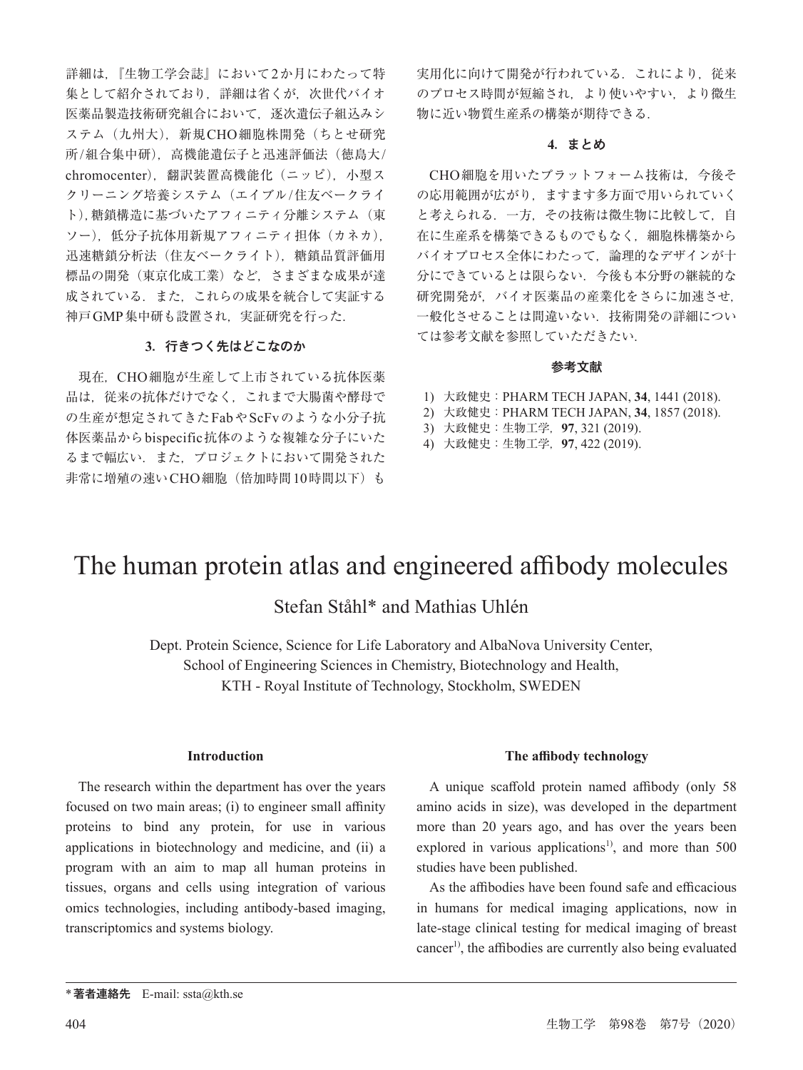詳細は,『生物工学会誌』において2か月にわたって特 集として紹介されており、詳細は省くが、次世代バイオ 医薬品製造技術研究組合において,逐次遺伝子組込みシ ステム(九州大),新規CHO細胞株開発(ちとせ研究 所/組合集中研),高機能遺伝子と迅速評価法(徳島大/ chromocenter),翻訳装置高機能化(ニッピ),小型ス クリーニング培養システム(エイブル/住友ベークライ ト),糖鎖構造に基づいたアフィニティ分離システム(東 ソー),低分子抗体用新規アフィニティ担体(カネカ), 迅速糖鎖分析法(住友ベークライト),糖鎖品質評価用 標品の開発(東京化成工業)など,さまざまな成果が達 成されている.また,これらの成果を統合して実証する 神戸GMP集中研も設置され,実証研究を行った.

## **3**.行きつく先はどこなのか

現在,CHO細胞が生産して上市されている抗体医薬 品は,従来の抗体だけでなく,これまで大腸菌や酵母で の生産が想定されてきたFabやScFvのような小分子抗 体医薬品からbispecific抗体のような複雑な分子にいた るまで幅広い. また、プロジェクトにおいて開発された 非常に増殖の速いCHO細胞(倍加時間10時間以下)も

実用化に向けて開発が行われている。これにより、従来 のプロセス時間が短縮され,より使いやすい,より微生 物に近い物質生産系の構築が期待できる.

#### **4**.まとめ

CHO細胞を用いたプラットフォーム技術は,今後そ の応用範囲が広がり,ますます多方面で用いられていく と考えられる.一方,その技術は微生物に比較して,自 在に生産系を構築できるものでもなく,細胞株構築から バイオプロセス全体にわたって,論理的なデザインが十 分にできているとは限らない.今後も本分野の継続的な 研究開発が、バイオ医薬品の産業化をさらに加速させ, 一般化させることは間違いない.技術開発の詳細につい ては参考文献を参照していただきたい.

#### 参考文献

- 1) 大政健史:PHARM TECH JAPAN, **34**, 1441 (2018).
- 2) 大政健史:PHARM TECH JAPAN, **34**, 1857 (2018).
- 3) 大政健史:生物工学,**97**, 321 (2019).
- 4) 大政健史:生物工学,**97**, 422 (2019).

# The human protein atlas and engineered affibody molecules

## Stefan Ståhl\* and Mathias Uhlén

Dept. Protein Science, Science for Life Laboratory and AlbaNova University Center, School of Engineering Sciences in Chemistry, Biotechnology and Health, KTH - Royal Institute of Technology, Stockholm, SWEDEN

## **Introduction**

The research within the department has over the years focused on two main areas; (i) to engineer small affinity proteins to bind any protein, for use in various applications in biotechnology and medicine, and (ii) a program with an aim to map all human proteins in tissues, organs and cells using integration of various omics technologies, including antibody-based imaging, transcriptomics and systems biology.

#### **The affibody technology**

A unique scaffold protein named affibody (only 58 amino acids in size), was developed in the department more than 20 years ago, and has over the years been explored in various applications<sup>1</sup>, and more than  $500$ studies have been published.

As the affibodies have been found safe and efficacious in humans for medical imaging applications, now in late-stage clinical testing for medical imaging of breast cancer<sup>1)</sup>, the affibodies are currently also being evaluated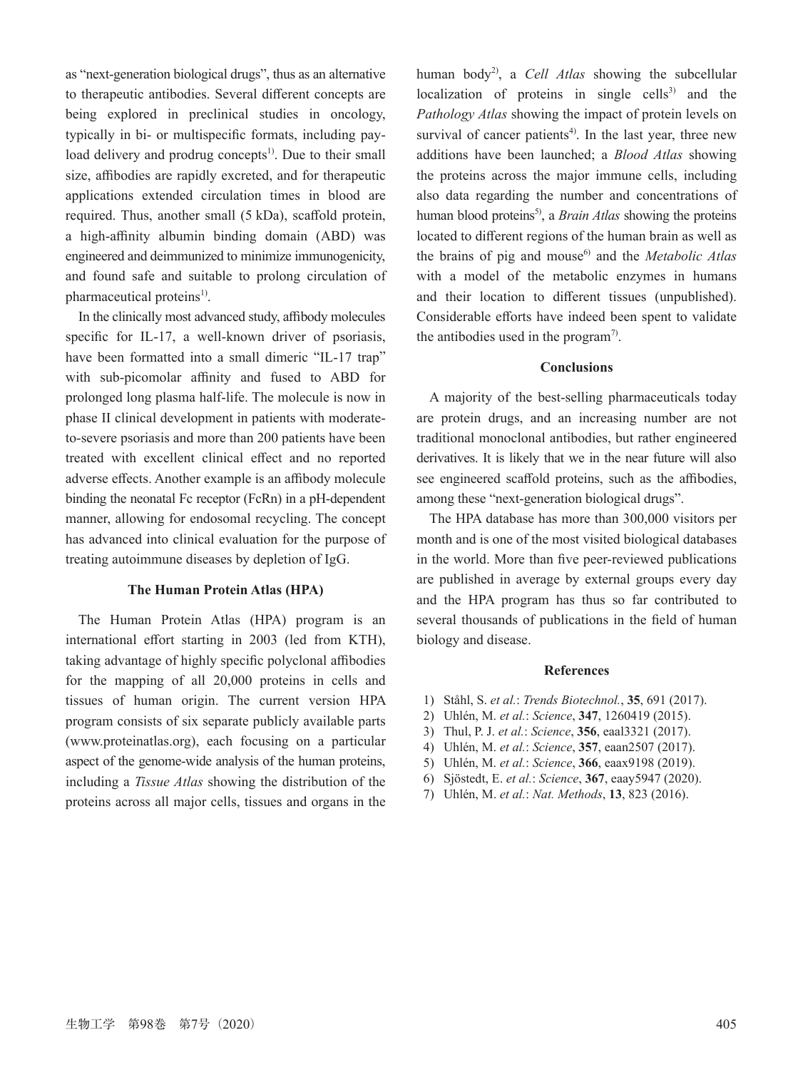as "next-generation biological drugs", thus as an alternative to therapeutic antibodies. Several different concepts are being explored in preclinical studies in oncology, typically in bi- or multispecific formats, including payload delivery and prodrug concepts<sup>1)</sup>. Due to their small size, affibodies are rapidly excreted, and for therapeutic applications extended circulation times in blood are required. Thus, another small (5 kDa), scaffold protein, a high-affinity albumin binding domain (ABD) was engineered and deimmunized to minimize immunogenicity, and found safe and suitable to prolong circulation of pharmaceutical proteins $<sup>1</sup>$ .</sup>

In the clinically most advanced study, affibody molecules specific for IL-17, a well-known driver of psoriasis, have been formatted into a small dimeric "IL-17 trap" with sub-picomolar affinity and fused to ABD for prolonged long plasma half-life. The molecule is now in phase II clinical development in patients with moderateto-severe psoriasis and more than 200 patients have been treated with excellent clinical effect and no reported adverse effects. Another example is an affibody molecule binding the neonatal Fc receptor (FcRn) in a pH-dependent manner, allowing for endosomal recycling. The concept has advanced into clinical evaluation for the purpose of treating autoimmune diseases by depletion of IgG.

#### **The Human Protein Atlas (HPA)**

The Human Protein Atlas (HPA) program is an international effort starting in 2003 (led from KTH), taking advantage of highly specific polyclonal affibodies for the mapping of all 20,000 proteins in cells and tissues of human origin. The current version HPA program consists of six separate publicly available parts (www.proteinatlas.org), each focusing on a particular aspect of the genome-wide analysis of the human proteins, including a *Tissue Atlas* showing the distribution of the proteins across all major cells, tissues and organs in the human body2), a *Cell Atlas* showing the subcellular localization of proteins in single cells $^{3)}$  and the *Pathology Atlas* showing the impact of protein levels on survival of cancer patients<sup>4)</sup>. In the last year, three new additions have been launched; a *Blood Atlas* showing the proteins across the major immune cells, including also data regarding the number and concentrations of human blood proteins<sup>5)</sup>, a *Brain Atlas* showing the proteins located to different regions of the human brain as well as the brains of pig and mouse<sup>6</sup> and the *Metabolic Atlas* with a model of the metabolic enzymes in humans and their location to different tissues (unpublished). Considerable efforts have indeed been spent to validate the antibodies used in the program<sup>7</sup>.

#### **Conclusions**

A majority of the best-selling pharmaceuticals today are protein drugs, and an increasing number are not traditional monoclonal antibodies, but rather engineered derivatives. It is likely that we in the near future will also see engineered scaffold proteins, such as the affibodies, among these "next-generation biological drugs".

The HPA database has more than 300,000 visitors per month and is one of the most visited biological databases in the world. More than five peer-reviewed publications are published in average by external groups every day and the HPA program has thus so far contributed to several thousands of publications in the field of human biology and disease.

#### **References**

- 1) Ståhl, S. *et al.*: *Trends Biotechnol.*, **35**, 691 (2017).
- 2) Uhlén, M. *et al.*: *Science*, **347**, 1260419 (2015).
- 3) Thul, P. J. *et al.*: *Science*, **356**, eaal3321 (2017).
- 4) Uhlén, M. *et al.*: *Science*, **357**, eaan2507 (2017).
- 5) Uhlén, M. *et al.*: *Science*, **366**, eaax9198 (2019).
- 6) Sjöstedt, E. *et al.*: *Science*, **367**, eaay5947 (2020).
- 7) Uhlén, M. *et al.*: *Nat. Methods*, **13**, 823 (2016).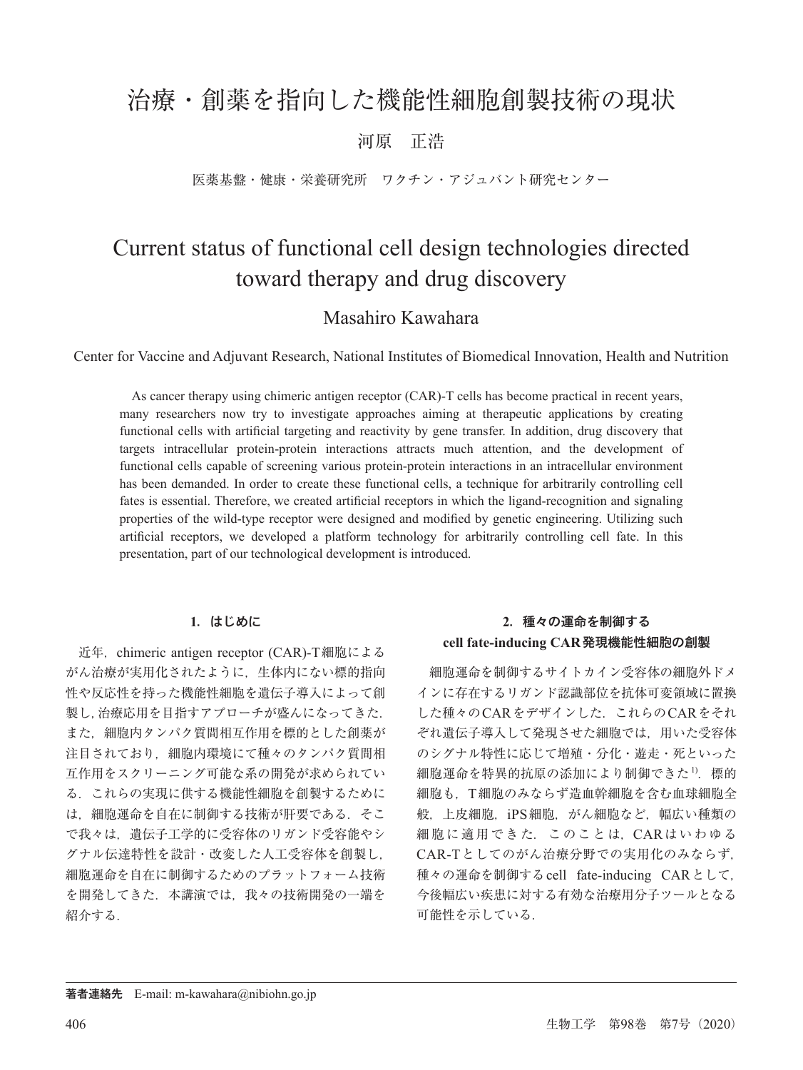## 治療・創薬を指向した機能性細胞創製技術の現状

## 河原 正浩

医薬基盤・健康・栄養研究所 ワクチン・アジュバント研究センター

# Current status of functional cell design technologies directed toward therapy and drug discovery

## Masahiro Kawahara

Center for Vaccine and Adjuvant Research, National Institutes of Biomedical Innovation, Health and Nutrition

As cancer therapy using chimeric antigen receptor (CAR)-T cells has become practical in recent years, many researchers now try to investigate approaches aiming at therapeutic applications by creating functional cells with artificial targeting and reactivity by gene transfer. In addition, drug discovery that targets intracellular protein-protein interactions attracts much attention, and the development of functional cells capable of screening various protein-protein interactions in an intracellular environment has been demanded. In order to create these functional cells, a technique for arbitrarily controlling cell fates is essential. Therefore, we created artificial receptors in which the ligand-recognition and signaling properties of the wild-type receptor were designed and modified by genetic engineering. Utilizing such artificial receptors, we developed a platform technology for arbitrarily controlling cell fate. In this presentation, part of our technological development is introduced.

## **1**.はじめに

近年, chimeric antigen receptor (CAR)-T細胞による がん治療が実用化されたように,生体内にない標的指向 性や反応性を持った機能性細胞を遺伝子導入によって創 製し,治療応用を目指すアプローチが盛んになってきた. また,細胞内タンパク質間相互作用を標的とした創薬が 注目されており,細胞内環境にて種々のタンパク質間相 互作用をスクリーニング可能な系の開発が求められてい る.これらの実現に供する機能性細胞を創製するために は,細胞運命を自在に制御する技術が肝要である.そこ で我々は,遺伝子工学的に受容体のリガンド受容能やシ グナル伝達特性を設計・改変した人工受容体を創製し, 細胞運命を自在に制御するためのプラットフォーム技術 を開発してきた.本講演では,我々の技術開発の一端を 紹介する.

## **2**.種々の運命を制御する **cell fate-inducing CAR**発現機能性細胞の創製

細胞運命を制御するサイトカイン受容体の細胞外ドメ インに存在するリガンド認識部位を抗体可変領域に置換 した種々のCARをデザインした.これらのCARをそれ ぞれ遺伝子導入して発現させた細胞では,用いた受容体 のシグナル特性に応じて増殖・分化・遊走・死といった 細胞運命を特異的抗原の添加により制御できた<sup>1)</sup>. 標的 細胞も,T細胞のみならず造血幹細胞を含む血球細胞全 般,上皮細胞,iPS細胞,がん細胞など,幅広い種類の 細胞に適用できた.このことは,CARはいわゆる CAR-Tとしてのがん治療分野での実用化のみならず, 種々の運命を制御するcell fate-inducing CARとして, 今後幅広い疾患に対する有効な治療用分子ツールとなる 可能性を示している.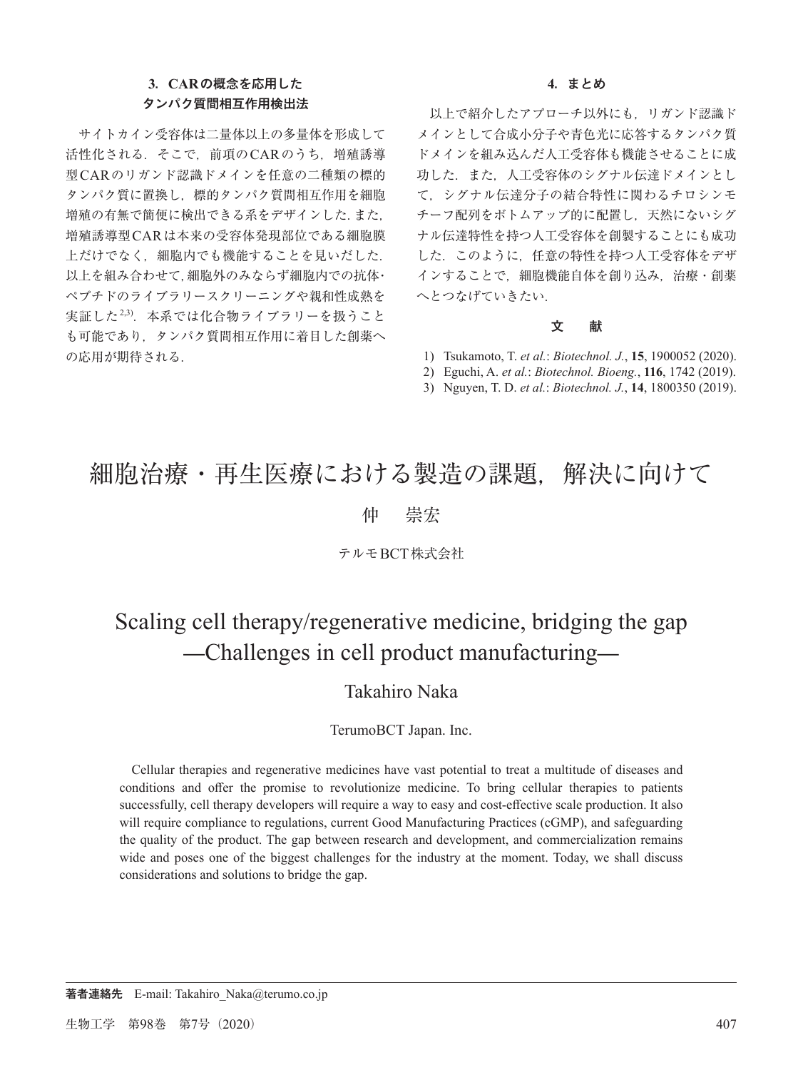## **3**.**CAR**の概念を応用した タンパク質間相互作用検出法

サイトカイン受容体は二量体以上の多量体を形成して 活性化される.そこで,前項のCARのうち,増殖誘導 型CARのリガンド認識ドメインを任意の二種類の標的 タンパク質に置換し,標的タンパク質間相互作用を細胞 増殖の有無で簡便に検出できる系をデザインした.また, 増殖誘導型CARは本来の受容体発現部位である細胞膜 上だけでなく,細胞内でも機能することを見いだした. 以上を組み合わせて,細胞外のみならず細胞内での抗体・ ペプチドのライブラリースクリーニングや親和性成熟を 実証した<sup>2,3)</sup>. 本系では化合物ライブラリーを扱うこと も可能であり,タンパク質間相互作用に着目した創薬へ の応用が期待される.

#### **4**.まとめ

以上で紹介したアプローチ以外にも,リガンド認識ド メインとして合成小分子や青色光に応答するタンパク質 ドメインを組み込んだ人工受容体も機能させることに成 功した.また,人工受容体のシグナル伝達ドメインとし て,シグナル伝達分子の結合特性に関わるチロシンモ チーフ配列をボトムアップ的に配置し,天然にないシグ ナル伝達特性を持つ人工受容体を創製することにも成功 した.このように,任意の特性を持つ人工受容体をデザ インすることで,細胞機能自体を創り込み,治療・創薬 へとつなげていきたい.

## 文 献

- 1) Tsukamoto, T. *et al.*: *Biotechnol. J.*, **15**, 1900052 (2020).
- 2) Eguchi, A. *et al.*: *Biotechnol. Bioeng.*, **116**, 1742 (2019).
- 3) Nguyen, T. D. *et al.*: *Biotechnol. J.*, **14**, 1800350 (2019).

# 細胞治療・再生医療における製造の課題,解決に向けて

## 仲 崇宏

## テルモBCT株式会社

# Scaling cell therapy/regenerative medicine, bridging the gap ̶Challenges in cell product manufacturing̶

## Takahiro Naka

## TerumoBCT Japan. Inc.

Cellular therapies and regenerative medicines have vast potential to treat a multitude of diseases and conditions and offer the promise to revolutionize medicine. To bring cellular therapies to patients successfully, cell therapy developers will require a way to easy and cost-effective scale production. It also will require compliance to regulations, current Good Manufacturing Practices (cGMP), and safeguarding the quality of the product. The gap between research and development, and commercialization remains wide and poses one of the biggest challenges for the industry at the moment. Today, we shall discuss considerations and solutions to bridge the gap.